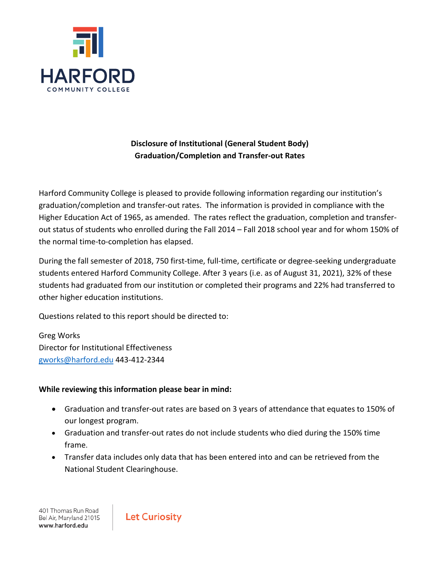

### **Disclosure of Institutional (General Student Body) Graduation/Completion and Transfer-out Rates**

Harford Community College is pleased to provide following information regarding our institution's graduation/completion and transfer-out rates. The information is provided in compliance with the Higher Education Act of 1965, as amended. The rates reflect the graduation, completion and transferout status of students who enrolled during the Fall 2014 – Fall 2018 school year and for whom 150% of the normal time-to-completion has elapsed.

During the fall semester of 2018, 750 first-time, full-time, certificate or degree-seeking undergraduate students entered Harford Community College. After 3 years (i.e. as of August 31, 2021), 32% of these students had graduated from our institution or completed their programs and 22% had transferred to other higher education institutions.

Questions related to this report should be directed to:

Greg Works Director for Institutional Effectiveness [gworks@harford.edu](mailto:gworks@harford.edu) 443-412-2344

#### **While reviewing this information please bear in mind:**

- Graduation and transfer-out rates are based on 3 years of attendance that equates to 150% of our longest program.
- Graduation and transfer-out rates do not include students who died during the 150% time frame.
- Transfer data includes only data that has been entered into and can be retrieved from the National Student Clearinghouse.

401 Thomas Run Road Bel Air, Maryland 21015 www.harford.edu

**Let Curiosity**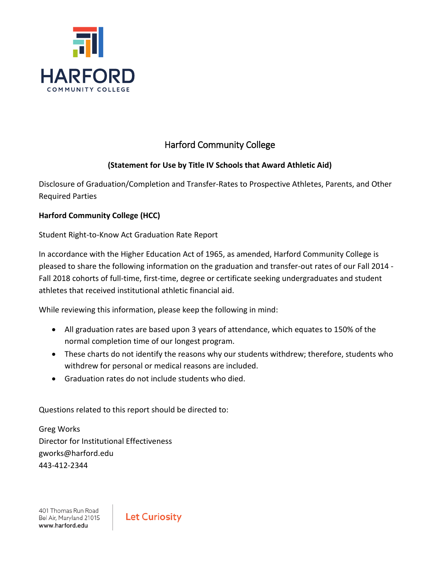

## Harford Community College

### **(Statement for Use by Title IV Schools that Award Athletic Aid)**

Disclosure of Graduation/Completion and Transfer-Rates to Prospective Athletes, Parents, and Other Required Parties

#### **Harford Community College (HCC)**

Student Right-to-Know Act Graduation Rate Report

In accordance with the Higher Education Act of 1965, as amended, Harford Community College is pleased to share the following information on the graduation and transfer-out rates of our Fall 2014 - Fall 2018 cohorts of full-time, first-time, degree or certificate seeking undergraduates and student athletes that received institutional athletic financial aid.

While reviewing this information, please keep the following in mind:

- All graduation rates are based upon 3 years of attendance, which equates to 150% of the normal completion time of our longest program.
- These charts do not identify the reasons why our students withdrew; therefore, students who withdrew for personal or medical reasons are included.
- Graduation rates do not include students who died.

Questions related to this report should be directed to:

Greg Works Director for Institutional Effectiveness gworks@harford.edu 443-412-2344

401 Thomas Run Road Bel Air, Maryland 21015 www.harford.edu

**Let Curiosity**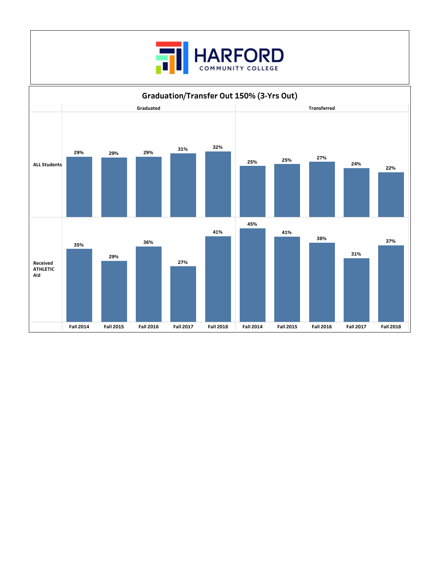

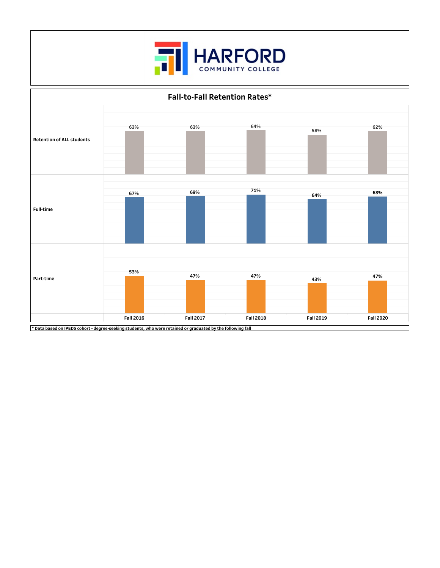



 $*$  Data based on IPEDS cohort - degree-seeking students, who were retained or graduated by the following fall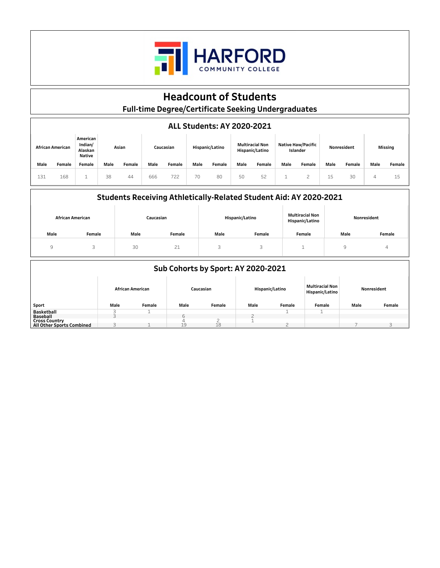

## **Headcount of Students**

**Full-timeDegree/CertificateSeekingUndergraduates**

#### **ALLStudents:AY2020-2021**

| African American |        | American<br>Indian/<br>Alaskan<br><b>Native</b> | Asian |        | Caucasian |        | Hispanic/Latino |        | <b>Multiracial Non</b><br>Hispanic/Latino |        | <b>Native Haw/Pacific</b><br>Islander |        | Nonresident |        | Missing |          |
|------------------|--------|-------------------------------------------------|-------|--------|-----------|--------|-----------------|--------|-------------------------------------------|--------|---------------------------------------|--------|-------------|--------|---------|----------|
| Male             | Female | <b>Female</b>                                   | Male  | Female | Male      | Female | Male            | Female | Male                                      | Female | Male                                  | Female | Male        | Female | Male    | Female   |
| 131              | 168    |                                                 | 38    | 44     | 666       | 722    | 70              | 80     | 50                                        | 52     |                                       |        | 15          | 30     |         | 15<br>ني |

#### Students Receiving Athletically-Related Student Aid: AY 2020-2021

| <b>African American</b> |        |      | Caucasian |      | Hispanic/Latino | Multiracial Non<br>Hispanic/Latino | Nonresident |        |
|-------------------------|--------|------|-----------|------|-----------------|------------------------------------|-------------|--------|
| Male                    | Female | Male | Female    | Male | Female          | Female                             | Male        | Female |
| Q                       | ت      | 30   | 21        |      | ٠               |                                    | u<br>. .    | 4      |

| Sub Cohorts by Sport: AY 2020-2021 |      |                         |      |           |                 |        |                                           |             |        |
|------------------------------------|------|-------------------------|------|-----------|-----------------|--------|-------------------------------------------|-------------|--------|
|                                    |      | <b>African American</b> |      | Caucasian | Hispanic/Latino |        | <b>Multiracial Non</b><br>Hispanic/Latino | Nonresident |        |
| Sport                              | Male | Female                  | Male | Female    | Male            | Female | Female                                    | Male        | Female |
| Basketball                         |      |                         |      |           |                 |        |                                           |             |        |
| <b>Baseball</b>                    |      |                         |      |           |                 |        |                                           |             |        |
| <b>Cross Country</b>               |      |                         |      |           |                 |        |                                           |             |        |
| All Other Sports Combined          | ∽    |                         | 19   | 18        |                 |        |                                           |             |        |